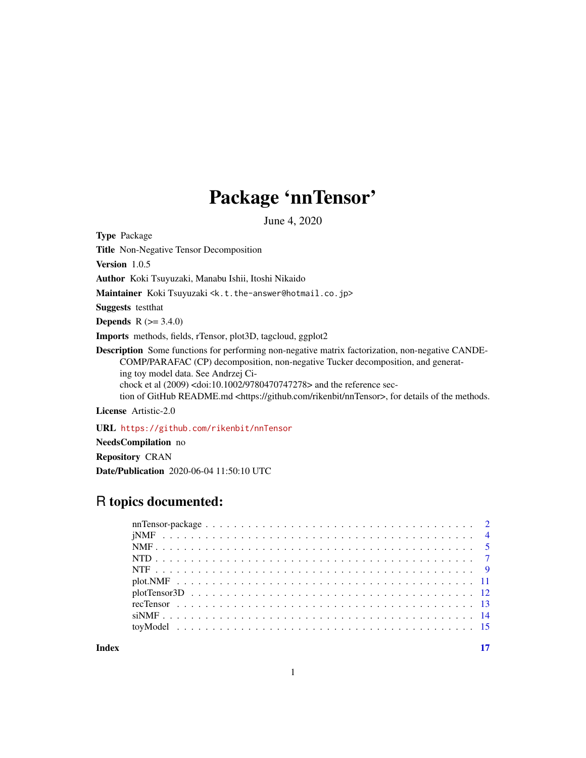# Package 'nnTensor'

June 4, 2020

<span id="page-0-0"></span>Type Package

Title Non-Negative Tensor Decomposition

Version 1.0.5

Author Koki Tsuyuzaki, Manabu Ishii, Itoshi Nikaido

Maintainer Koki Tsuyuzaki <k.t.the-answer@hotmail.co.jp>

Suggests testthat

**Depends** R  $(>= 3.4.0)$ 

Imports methods, fields, rTensor, plot3D, tagcloud, ggplot2

Description Some functions for performing non-negative matrix factorization, non-negative CANDE-COMP/PARAFAC (CP) decomposition, non-negative Tucker decomposition, and generating toy model data. See Andrzej Cichock et al (2009) <doi:10.1002/9780470747278> and the reference section of GitHub README.md <https://github.com/rikenbit/nnTensor>, for details of the methods.

License Artistic-2.0

URL <https://github.com/rikenbit/nnTensor>

NeedsCompilation no Repository CRAN Date/Publication 2020-06-04 11:50:10 UTC

# R topics documented:

**Index** [17](#page-16-0)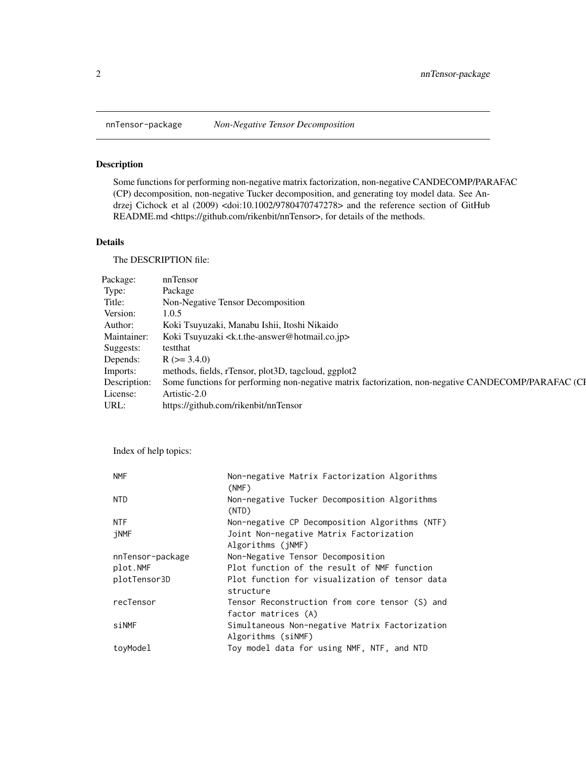<span id="page-1-0"></span>

# Description

Some functions for performing non-negative matrix factorization, non-negative CANDECOMP/PARAFAC (CP) decomposition, non-negative Tucker decomposition, and generating toy model data. See Andrzej Cichock et al (2009) <doi:10.1002/9780470747278> and the reference section of GitHub README.md <https://github.com/rikenbit/nnTensor>, for details of the methods.

# Details

The DESCRIPTION file:

| Package:  | nnTensor                                                                                                         |
|-----------|------------------------------------------------------------------------------------------------------------------|
| Type:     | Package                                                                                                          |
| Title:    | Non-Negative Tensor Decomposition                                                                                |
| Version:  | 1.0.5                                                                                                            |
| Author:   | Koki Tsuyuzaki, Manabu Ishii, Itoshi Nikaido                                                                     |
|           | Maintainer: Koki Tsuyuzaki <k.t.the-answer@hotmail.co.jp></k.t.the-answer@hotmail.co.jp>                         |
| Suggests: | testthat                                                                                                         |
| Depends:  | $R$ ( $> = 3.4.0$ )                                                                                              |
| Imports:  | methods, fields, rTensor, plot3D, tagcloud, ggplot2                                                              |
|           | Description: Some functions for performing non-negative matrix factorization, non-negative CANDECOMP/PARAFAC (CI |
| License:  | Artistic-2.0                                                                                                     |
| URL:      | https://github.com/rikenbit/nnTensor                                                                             |

Index of help topics:

| <b>NMF</b>       | Non-negative Matrix Factorization Algorithms<br>(NMF)       |
|------------------|-------------------------------------------------------------|
| <b>NTD</b>       | Non-negative Tucker Decomposition Algorithms<br>(NTD)       |
| <b>NTF</b>       | Non-negative CP Decomposition Algorithms (NTF)              |
| jNMF             | Joint Non-negative Matrix Factorization                     |
|                  | Algorithms (jNMF)                                           |
| nnTensor-package | Non-Negative Tensor Decomposition                           |
| plot.NMF         | Plot function of the result of NMF function                 |
| plotTensor3D     | Plot function for visualization of tensor data<br>structure |
| recTensor        | Tensor Reconstruction from core tensor (S) and              |
|                  | factor matrices (A)                                         |
| siNMF            | Simultaneous Non-negative Matrix Factorization              |
|                  | Algorithms (siNMF)                                          |
| toyModel         | Toy model data for using NMF, NTF, and NTD                  |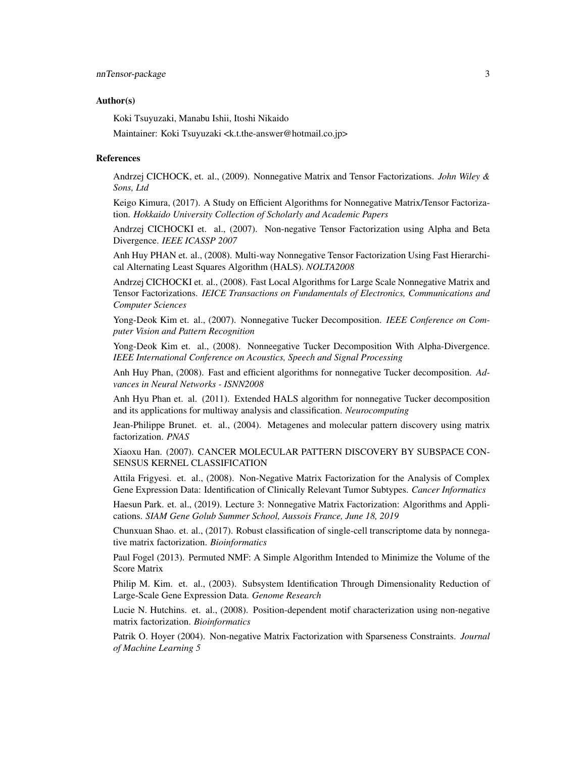#### Author(s)

Koki Tsuyuzaki, Manabu Ishii, Itoshi Nikaido

Maintainer: Koki Tsuyuzaki <k.t.the-answer@hotmail.co.jp>

#### References

Andrzej CICHOCK, et. al., (2009). Nonnegative Matrix and Tensor Factorizations. *John Wiley & Sons, Ltd*

Keigo Kimura, (2017). A Study on Efficient Algorithms for Nonnegative Matrix/Tensor Factorization. *Hokkaido University Collection of Scholarly and Academic Papers*

Andrzej CICHOCKI et. al., (2007). Non-negative Tensor Factorization using Alpha and Beta Divergence. *IEEE ICASSP 2007*

Anh Huy PHAN et. al., (2008). Multi-way Nonnegative Tensor Factorization Using Fast Hierarchical Alternating Least Squares Algorithm (HALS). *NOLTA2008*

Andrzej CICHOCKI et. al., (2008). Fast Local Algorithms for Large Scale Nonnegative Matrix and Tensor Factorizations. *IEICE Transactions on Fundamentals of Electronics, Communications and Computer Sciences*

Yong-Deok Kim et. al., (2007). Nonnegative Tucker Decomposition. *IEEE Conference on Computer Vision and Pattern Recognition*

Yong-Deok Kim et. al., (2008). Nonneegative Tucker Decomposition With Alpha-Divergence. *IEEE International Conference on Acoustics, Speech and Signal Processing*

Anh Huy Phan, (2008). Fast and efficient algorithms for nonnegative Tucker decomposition. *Advances in Neural Networks - ISNN2008*

Anh Hyu Phan et. al. (2011). Extended HALS algorithm for nonnegative Tucker decomposition and its applications for multiway analysis and classification. *Neurocomputing*

Jean-Philippe Brunet. et. al., (2004). Metagenes and molecular pattern discovery using matrix factorization. *PNAS*

Xiaoxu Han. (2007). CANCER MOLECULAR PATTERN DISCOVERY BY SUBSPACE CON-SENSUS KERNEL CLASSIFICATION

Attila Frigyesi. et. al., (2008). Non-Negative Matrix Factorization for the Analysis of Complex Gene Expression Data: Identification of Clinically Relevant Tumor Subtypes. *Cancer Informatics*

Haesun Park. et. al., (2019). Lecture 3: Nonnegative Matrix Factorization: Algorithms and Applications. *SIAM Gene Golub Summer School, Aussois France, June 18, 2019*

Chunxuan Shao. et. al., (2017). Robust classification of single-cell transcriptome data by nonnegative matrix factorization. *Bioinformatics*

Paul Fogel (2013). Permuted NMF: A Simple Algorithm Intended to Minimize the Volume of the Score Matrix

Philip M. Kim. et. al., (2003). Subsystem Identification Through Dimensionality Reduction of Large-Scale Gene Expression Data. *Genome Research*

Lucie N. Hutchins. et. al., (2008). Position-dependent motif characterization using non-negative matrix factorization. *Bioinformatics*

Patrik O. Hoyer (2004). Non-negative Matrix Factorization with Sparseness Constraints. *Journal of Machine Learning 5*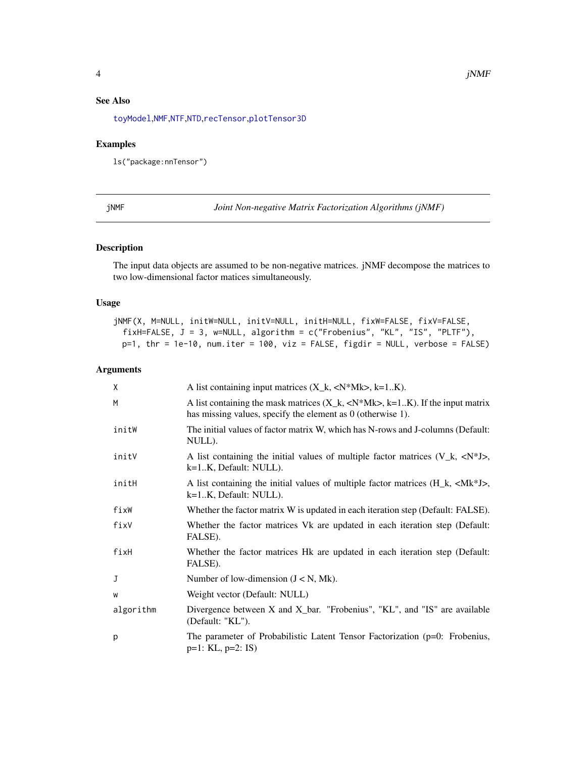# <span id="page-3-0"></span>See Also

[toyModel](#page-14-1),[NMF](#page-4-1),[NTF](#page-8-1),[NTD](#page-6-1),[recTensor](#page-12-1),[plotTensor3D](#page-11-1)

#### Examples

ls("package:nnTensor")

jNMF *Joint Non-negative Matrix Factorization Algorithms (jNMF)*

# Description

The input data objects are assumed to be non-negative matrices. jNMF decompose the matrices to two low-dimensional factor matices simultaneously.

#### Usage

jNMF(X, M=NULL, initW=NULL, initV=NULL, initH=NULL, fixW=FALSE, fixV=FALSE, fixH=FALSE, J = 3, w=NULL, algorithm = c("Frobenius", "KL", "IS", "PLTF"), p=1, thr = 1e-10, num.iter = 100, viz = FALSE, figdir = NULL, verbose = FALSE)

| X         | A list containing input matrices $(X_k, \langle N^*Mk \rangle, k=1K)$ .                                                                                      |
|-----------|--------------------------------------------------------------------------------------------------------------------------------------------------------------|
| M         | A list containing the mask matrices $(X_k, \langle N^*Mk\rangle, k=1K)$ . If the input matrix<br>has missing values, specify the element as 0 (otherwise 1). |
| initW     | The initial values of factor matrix W, which has N-rows and J-columns (Default:<br>NULL).                                                                    |
| initV     | A list containing the initial values of multiple factor matrices $(V_k, \langle N^*J \rangle,$<br>k=1.K, Default: NULL).                                     |
| initH     | A list containing the initial values of multiple factor matrices $(H_k, \langle Mk^*J \rangle)$ ,<br>k=1.K, Default: NULL).                                  |
| fixW      | Whether the factor matrix W is updated in each iteration step (Default: FALSE).                                                                              |
| fixV      | Whether the factor matrices Vk are updated in each iteration step (Default:<br>FALSE).                                                                       |
| fixH      | Whether the factor matrices Hk are updated in each iteration step (Default:<br>FALSE).                                                                       |
| J         | Number of low-dimension $(J < N, Mk)$ .                                                                                                                      |
| W         | Weight vector (Default: NULL)                                                                                                                                |
| algorithm | Divergence between X and X_bar. "Frobenius", "KL", and "IS" are available<br>(Default: "KL").                                                                |
| p         | The parameter of Probabilistic Latent Tensor Factorization (p=0: Frobenius,<br>$p=1$ : KL, $p=2$ : IS)                                                       |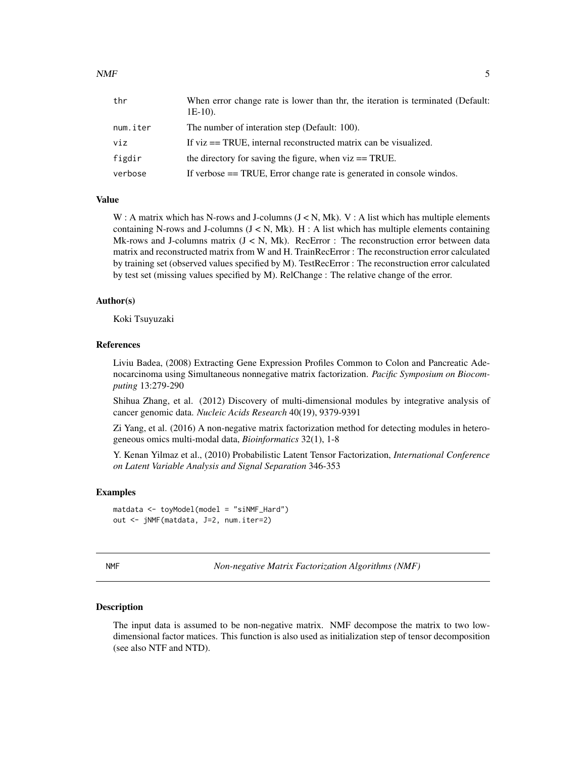<span id="page-4-0"></span>

| thr      | When error change rate is lower than thr, the iteration is terminated (Default:<br>$1E-10$ ). |
|----------|-----------------------------------------------------------------------------------------------|
| num.iter | The number of interation step (Default: 100).                                                 |
| viz      | If $viz == TRUE$ , internal reconstructed matrix can be visualized.                           |
| figdir   | the directory for saving the figure, when $viz == TRUE$ .                                     |
| verbose  | If verbose $==$ TRUE, Error change rate is generated in console windos.                       |

#### Value

W : A matrix which has N-rows and J-columns  $(J < N, Mk)$ . V : A list which has multiple elements containing N-rows and J-columns  $(J < N, Mk)$ . H : A list which has multiple elements containing Mk-rows and J-columns matrix  $(J < N, Mk)$ . RecError : The reconstruction error between data matrix and reconstructed matrix from W and H. TrainRecError : The reconstruction error calculated by training set (observed values specified by M). TestRecError : The reconstruction error calculated by test set (missing values specified by M). RelChange : The relative change of the error.

#### Author(s)

Koki Tsuyuzaki

#### References

Liviu Badea, (2008) Extracting Gene Expression Profiles Common to Colon and Pancreatic Adenocarcinoma using Simultaneous nonnegative matrix factorization. *Pacific Symposium on Biocomputing* 13:279-290

Shihua Zhang, et al. (2012) Discovery of multi-dimensional modules by integrative analysis of cancer genomic data. *Nucleic Acids Research* 40(19), 9379-9391

Zi Yang, et al. (2016) A non-negative matrix factorization method for detecting modules in heterogeneous omics multi-modal data, *Bioinformatics* 32(1), 1-8

Y. Kenan Yilmaz et al., (2010) Probabilistic Latent Tensor Factorization, *International Conference on Latent Variable Analysis and Signal Separation* 346-353

#### Examples

```
matdata <- toyModel(model = "siNMF_Hard")
out <- jNMF(matdata, J=2, num.iter=2)
```
<span id="page-4-1"></span>NMF *Non-negative Matrix Factorization Algorithms (NMF)*

#### Description

The input data is assumed to be non-negative matrix. NMF decompose the matrix to two lowdimensional factor matices. This function is also used as initialization step of tensor decomposition (see also NTF and NTD).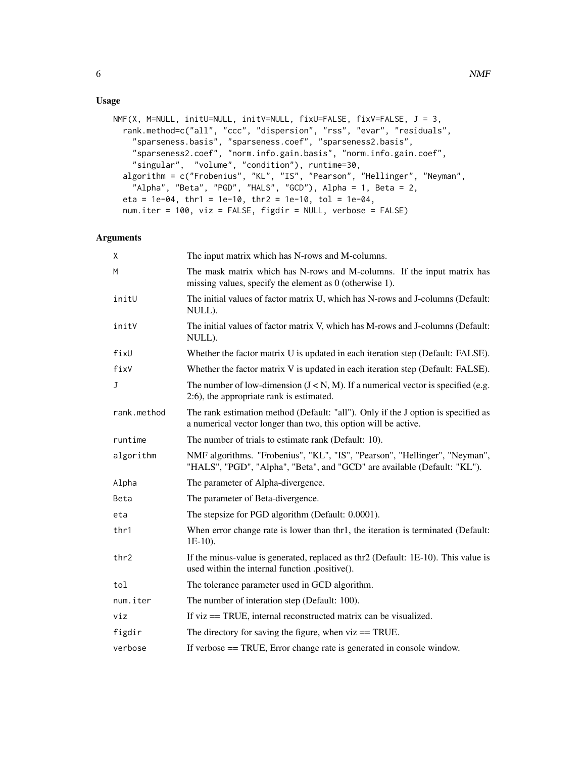# Usage

```
NMF(X, M=NULL, initU=NULL, initV=NULL, fixU=FALSE, fixV=FALSE, J = 3,
  rank.method=c("all", "ccc", "dispersion", "rss", "evar", "residuals",
    "sparseness.basis", "sparseness.coef", "sparseness2.basis",
    "sparseness2.coef", "norm.info.gain.basis", "norm.info.gain.coef",
    "singular", "volume", "condition"), runtime=30,
  algorithm = c("Frobenius", "KL", "IS", "Pearson", "Hellinger", "Neyman",
    "Alpha", "Beta", "PGD", "HALS", "GCD"), Alpha = 1, Beta = 2,
  eta = 1e-04, thr1 = 1e-10, thr2 = 1e-10, tol = 1e-04,
 num.iter = 100, viz = FALSE, figdir = NULL, verbose = FALSE)
```

| X                | The input matrix which has N-rows and M-columns.                                                                                                       |  |  |
|------------------|--------------------------------------------------------------------------------------------------------------------------------------------------------|--|--|
| M                | The mask matrix which has N-rows and M-columns. If the input matrix has<br>missing values, specify the element as $0$ (otherwise 1).                   |  |  |
| initU            | The initial values of factor matrix U, which has N-rows and J-columns (Default:<br>NULL).                                                              |  |  |
| initV            | The initial values of factor matrix V, which has M-rows and J-columns (Default:<br>NULL).                                                              |  |  |
| fixU             | Whether the factor matrix U is updated in each iteration step (Default: FALSE).                                                                        |  |  |
| fixV             | Whether the factor matrix V is updated in each iteration step (Default: FALSE).                                                                        |  |  |
| J                | The number of low-dimension $(J < N, M)$ . If a numerical vector is specified (e.g.<br>2:6), the appropriate rank is estimated.                        |  |  |
| rank.method      | The rank estimation method (Default: "all"). Only if the J option is specified as<br>a numerical vector longer than two, this option will be active.   |  |  |
| runtime          | The number of trials to estimate rank (Default: 10).                                                                                                   |  |  |
| algorithm        | NMF algorithms. "Frobenius", "KL", "IS", "Pearson", "Hellinger", "Neyman",<br>"HALS", "PGD", "Alpha", "Beta", and "GCD" are available (Default: "KL"). |  |  |
| Alpha            | The parameter of Alpha-divergence.                                                                                                                     |  |  |
| Beta             | The parameter of Beta-divergence.                                                                                                                      |  |  |
| eta              | The stepsize for PGD algorithm (Default: 0.0001).                                                                                                      |  |  |
| thr1             | When error change rate is lower than thr1, the iteration is terminated (Default:<br>$1E-10$ ).                                                         |  |  |
| thr <sub>2</sub> | If the minus-value is generated, replaced as thr2 (Default: 1E-10). This value is<br>used within the internal function .positive().                    |  |  |
| tol              | The tolerance parameter used in GCD algorithm.                                                                                                         |  |  |
| num.iter         | The number of interation step (Default: 100).                                                                                                          |  |  |
| viz              | If viz == TRUE, internal reconstructed matrix can be visualized.                                                                                       |  |  |
| figdir           | The directory for saving the figure, when $viz == TRUE$ .                                                                                              |  |  |
| verbose          | If verbose == TRUE, Error change rate is generated in console window.                                                                                  |  |  |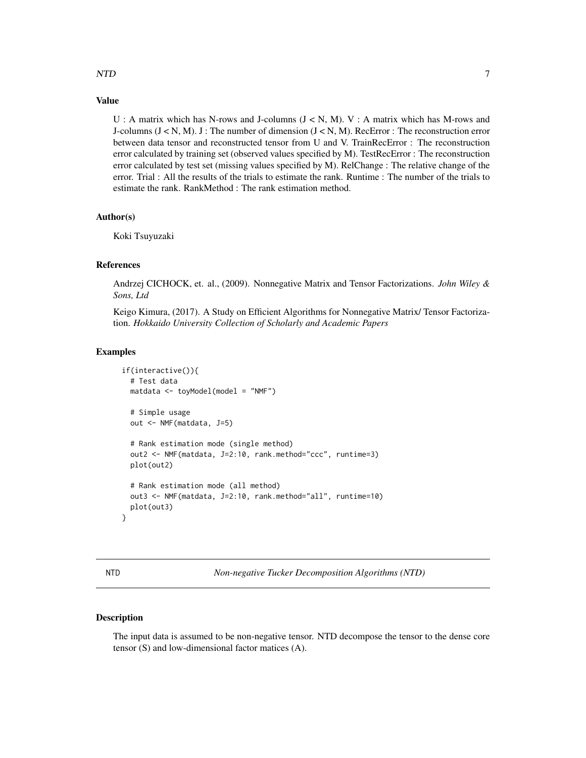#### <span id="page-6-0"></span>NTD  $\hspace{1.5cm}$  7

# Value

U : A matrix which has N-rows and J-columns  $(J < N, M)$ . V : A matrix which has M-rows and J-columns  $(J \lt N, M)$ . J : The number of dimension  $(J \lt N, M)$ . RecError : The reconstruction error between data tensor and reconstructed tensor from U and V. TrainRecError : The reconstruction error calculated by training set (observed values specified by M). TestRecError : The reconstruction error calculated by test set (missing values specified by M). RelChange : The relative change of the error. Trial : All the results of the trials to estimate the rank. Runtime : The number of the trials to estimate the rank. RankMethod : The rank estimation method.

#### Author(s)

Koki Tsuyuzaki

#### References

Andrzej CICHOCK, et. al., (2009). Nonnegative Matrix and Tensor Factorizations. *John Wiley & Sons, Ltd*

Keigo Kimura, (2017). A Study on Efficient Algorithms for Nonnegative Matrix/ Tensor Factorization. *Hokkaido University Collection of Scholarly and Academic Papers*

# Examples

```
if(interactive()){
  # Test data
  matdata <- toyModel(model = "NMF")
  # Simple usage
  out <- NMF(matdata, J=5)
  # Rank estimation mode (single method)
  out2 <- NMF(matdata, J=2:10, rank.method="ccc", runtime=3)
  plot(out2)
  # Rank estimation mode (all method)
  out3 <- NMF(matdata, J=2:10, rank.method="all", runtime=10)
  plot(out3)
}
```
<span id="page-6-1"></span>

NTD *Non-negative Tucker Decomposition Algorithms (NTD)*

#### Description

The input data is assumed to be non-negative tensor. NTD decompose the tensor to the dense core tensor (S) and low-dimensional factor matices (A).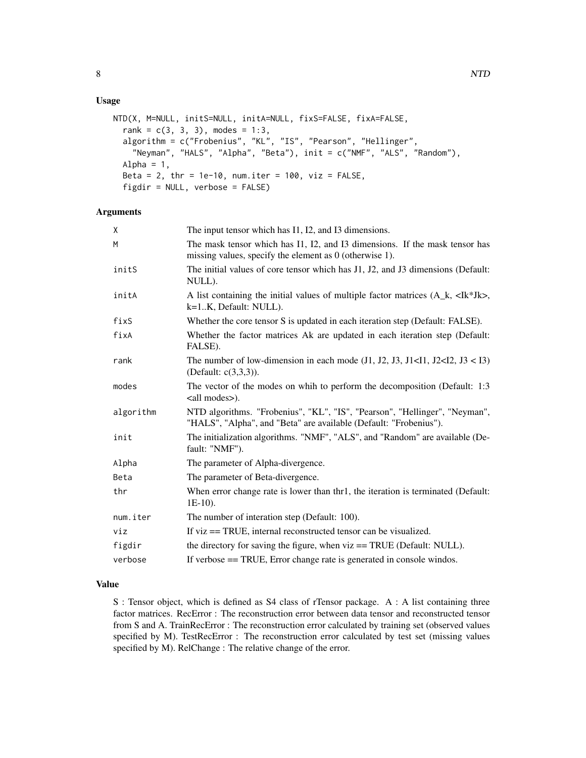### Usage

```
NTD(X, M=NULL, initS=NULL, initA=NULL, fixS=FALSE, fixA=FALSE,
  rank = c(3, 3, 3), modes = 1:3,
  algorithm = c("Frobenius", "KL", "IS", "Pearson", "Hellinger",
    "Neyman", "HALS", "Alpha", "Beta"), init = c("NMF", "ALS", "Random"),
 Alpha = 1,
 Beta = 2, thr = 1e-10, num.iter = 100, viz = FALSE,
  figdir = NULL, verbose = FALSE)
```
#### Arguments

| X         | The input tensor which has I1, I2, and I3 dimensions.                                                                                           |
|-----------|-------------------------------------------------------------------------------------------------------------------------------------------------|
| M         | The mask tensor which has I1, I2, and I3 dimensions. If the mask tensor has<br>missing values, specify the element as $0$ (otherwise 1).        |
| initS     | The initial values of core tensor which has J1, J2, and J3 dimensions (Default:<br>NULL).                                                       |
| initA     | A list containing the initial values of multiple factor matrices $(A_k, \langle Ik^*Jk \rangle)$ ,<br>k=1.K, Default: NULL).                    |
| fixS      | Whether the core tensor S is updated in each iteration step (Default: FALSE).                                                                   |
| fixA      | Whether the factor matrices Ak are updated in each iteration step (Default:<br>FALSE).                                                          |
| rank      | The number of low-dimension in each mode $(J1, J2, J3, J1<11, J2<12, J3<13)$<br>(Default: c(3,3,3)).                                            |
| modes     | The vector of the modes on whih to perform the decomposition (Default: 1:3)<br><all modes="">).</all>                                           |
| algorithm | NTD algorithms. "Frobenius", "KL", "IS", "Pearson", "Hellinger", "Neyman",<br>"HALS", "Alpha", and "Beta" are available (Default: "Frobenius"). |
| init      | The initialization algorithms. "NMF", "ALS", and "Random" are available (De-<br>fault: "NMF").                                                  |
| Alpha     | The parameter of Alpha-divergence.                                                                                                              |
| Beta      | The parameter of Beta-divergence.                                                                                                               |
| thr       | When error change rate is lower than thr1, the iteration is terminated (Default:<br>$1E-10$ ).                                                  |
| num.iter  | The number of interation step (Default: 100).                                                                                                   |
| viz       | If $viz == TRUE$ , internal reconstructed tensor can be visualized.                                                                             |
| figdir    | the directory for saving the figure, when viz = TRUE (Default: NULL).                                                                           |
| verbose   | If verbose == TRUE, Error change rate is generated in console windos.                                                                           |

# Value

S : Tensor object, which is defined as S4 class of rTensor package. A : A list containing three factor matrices. RecError : The reconstruction error between data tensor and reconstructed tensor from S and A. TrainRecError : The reconstruction error calculated by training set (observed values specified by M). TestRecError : The reconstruction error calculated by test set (missing values specified by M). RelChange : The relative change of the error.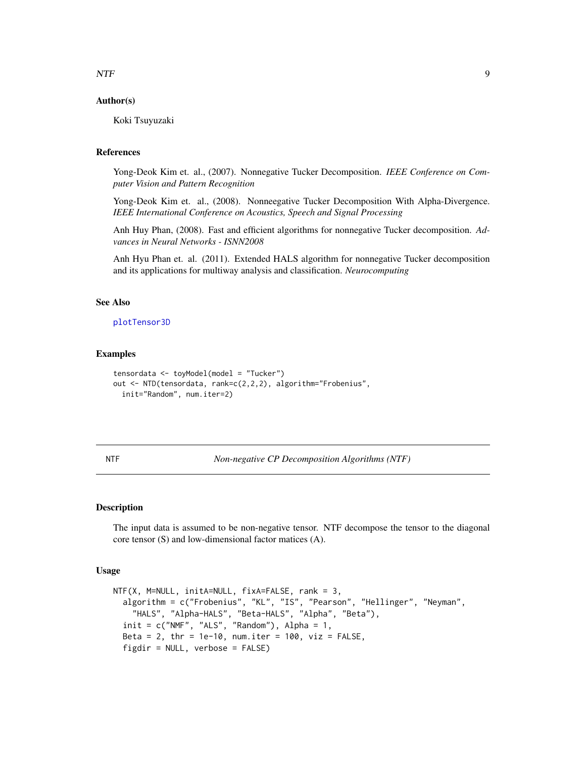### <span id="page-8-0"></span>NTF 9

### Author(s)

Koki Tsuyuzaki

# References

Yong-Deok Kim et. al., (2007). Nonnegative Tucker Decomposition. *IEEE Conference on Computer Vision and Pattern Recognition*

Yong-Deok Kim et. al., (2008). Nonneegative Tucker Decomposition With Alpha-Divergence. *IEEE International Conference on Acoustics, Speech and Signal Processing*

Anh Huy Phan, (2008). Fast and efficient algorithms for nonnegative Tucker decomposition. *Advances in Neural Networks - ISNN2008*

Anh Hyu Phan et. al. (2011). Extended HALS algorithm for nonnegative Tucker decomposition and its applications for multiway analysis and classification. *Neurocomputing*

#### See Also

#### [plotTensor3D](#page-11-1)

#### Examples

```
tensordata <- toyModel(model = "Tucker")
out <- NTD(tensordata, rank=c(2,2,2), algorithm="Frobenius",
 init="Random", num.iter=2)
```
<span id="page-8-1"></span>NTF *Non-negative CP Decomposition Algorithms (NTF)*

#### Description

The input data is assumed to be non-negative tensor. NTF decompose the tensor to the diagonal core tensor (S) and low-dimensional factor matices (A).

#### Usage

```
NTF(X, M=NULL, initA=NULL, fixA=FALSE, rank = 3,algorithm = c("Frobenius", "KL", "IS", "Pearson", "Hellinger", "Neyman",
    "HALS", "Alpha-HALS", "Beta-HALS", "Alpha", "Beta"),
  init = c("NMF", "ALS", "Random"), Alpha = 1,Beta = 2, thr = 1e-10, num.iter = 100, viz = FALSE,
 figdir = NULL, verbose = FALSE)
```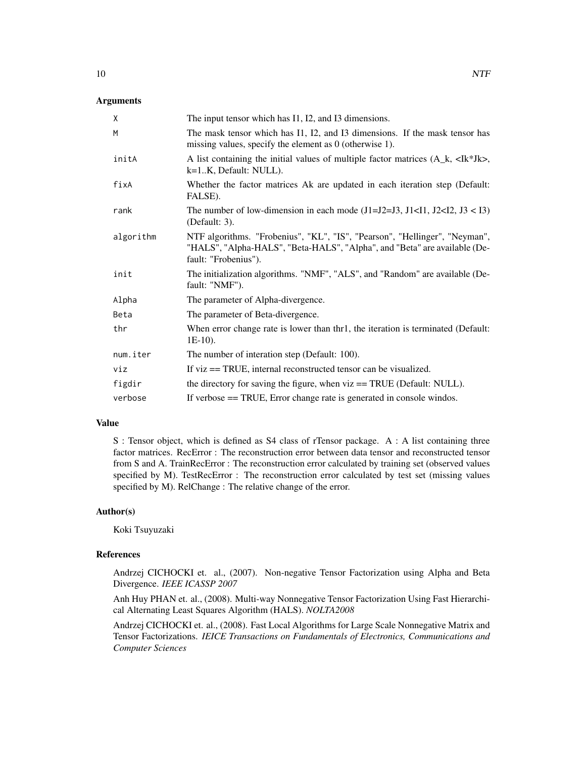### **Arguments**

| X         | The input tensor which has I1, I2, and I3 dimensions.                                                                                                                           |
|-----------|---------------------------------------------------------------------------------------------------------------------------------------------------------------------------------|
| M         | The mask tensor which has I1, I2, and I3 dimensions. If the mask tensor has<br>missing values, specify the element as $0$ (otherwise 1).                                        |
| initA     | A list containing the initial values of multiple factor matrices $(A_k, \langle Ik^*Jk \rangle)$ ,<br>k=1.K, Default: NULL).                                                    |
| fixA      | Whether the factor matrices Ak are updated in each iteration step (Default:<br>FALSE).                                                                                          |
| rank      | The number of low-dimension in each mode $(J1=J2=J3, J1<11, J2<12, J3<13)$<br>(Default: 3).                                                                                     |
| algorithm | NTF algorithms. "Frobenius", "KL", "IS", "Pearson", "Hellinger", "Neyman",<br>"HALS", "Alpha-HALS", "Beta-HALS", "Alpha", and "Beta" are available (De-<br>fault: "Frobenius"). |
| init      | The initialization algorithms. "NMF", "ALS", and "Random" are available (De-<br>fault: "NMF").                                                                                  |
| Alpha     | The parameter of Alpha-divergence.                                                                                                                                              |
| Beta      | The parameter of Beta-divergence.                                                                                                                                               |
| thr       | When error change rate is lower than thr1, the iteration is terminated (Default:<br>$1E-10$ ).                                                                                  |
| num.iter  | The number of interation step (Default: 100).                                                                                                                                   |
| viz       | If viz = TRUE, internal reconstructed tensor can be visualized.                                                                                                                 |
| figdir    | the directory for saving the figure, when viz == TRUE (Default: NULL).                                                                                                          |
| verbose   | If verbose == TRUE, Error change rate is generated in console windos.                                                                                                           |

#### Value

S : Tensor object, which is defined as S4 class of rTensor package. A : A list containing three factor matrices. RecError : The reconstruction error between data tensor and reconstructed tensor from S and A. TrainRecError : The reconstruction error calculated by training set (observed values specified by M). TestRecError : The reconstruction error calculated by test set (missing values specified by M). RelChange : The relative change of the error.

# Author(s)

Koki Tsuyuzaki

# References

Andrzej CICHOCKI et. al., (2007). Non-negative Tensor Factorization using Alpha and Beta Divergence. *IEEE ICASSP 2007*

Anh Huy PHAN et. al., (2008). Multi-way Nonnegative Tensor Factorization Using Fast Hierarchical Alternating Least Squares Algorithm (HALS). *NOLTA2008*

Andrzej CICHOCKI et. al., (2008). Fast Local Algorithms for Large Scale Nonnegative Matrix and Tensor Factorizations. *IEICE Transactions on Fundamentals of Electronics, Communications and Computer Sciences*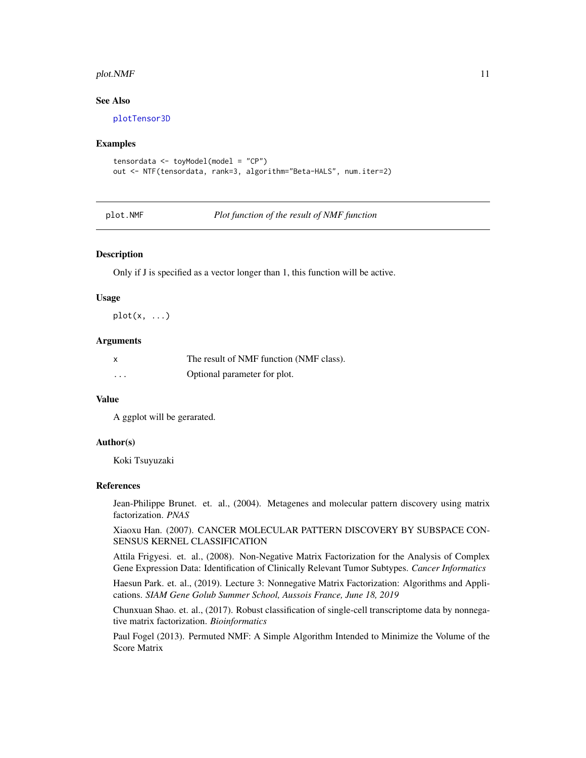#### <span id="page-10-0"></span> $p$ lot. $N$ MF  $11$

#### See Also

[plotTensor3D](#page-11-1)

#### Examples

```
tensordata <- toyModel(model = "CP")
out <- NTF(tensordata, rank=3, algorithm="Beta-HALS", num.iter=2)
```
plot.NMF *Plot function of the result of NMF function*

#### **Description**

Only if J is specified as a vector longer than 1, this function will be active.

#### Usage

 $plot(x, \ldots)$ 

#### **Arguments**

| $\boldsymbol{\mathsf{x}}$ | The result of NMF function (NMF class). |
|---------------------------|-----------------------------------------|
| .                         | Optional parameter for plot.            |

### Value

A ggplot will be gerarated.

# Author(s)

Koki Tsuyuzaki

#### References

Jean-Philippe Brunet. et. al., (2004). Metagenes and molecular pattern discovery using matrix factorization. *PNAS*

Xiaoxu Han. (2007). CANCER MOLECULAR PATTERN DISCOVERY BY SUBSPACE CON-SENSUS KERNEL CLASSIFICATION

Attila Frigyesi. et. al., (2008). Non-Negative Matrix Factorization for the Analysis of Complex Gene Expression Data: Identification of Clinically Relevant Tumor Subtypes. *Cancer Informatics*

Haesun Park. et. al., (2019). Lecture 3: Nonnegative Matrix Factorization: Algorithms and Applications. *SIAM Gene Golub Summer School, Aussois France, June 18, 2019*

Chunxuan Shao. et. al., (2017). Robust classification of single-cell transcriptome data by nonnegative matrix factorization. *Bioinformatics*

Paul Fogel (2013). Permuted NMF: A Simple Algorithm Intended to Minimize the Volume of the Score Matrix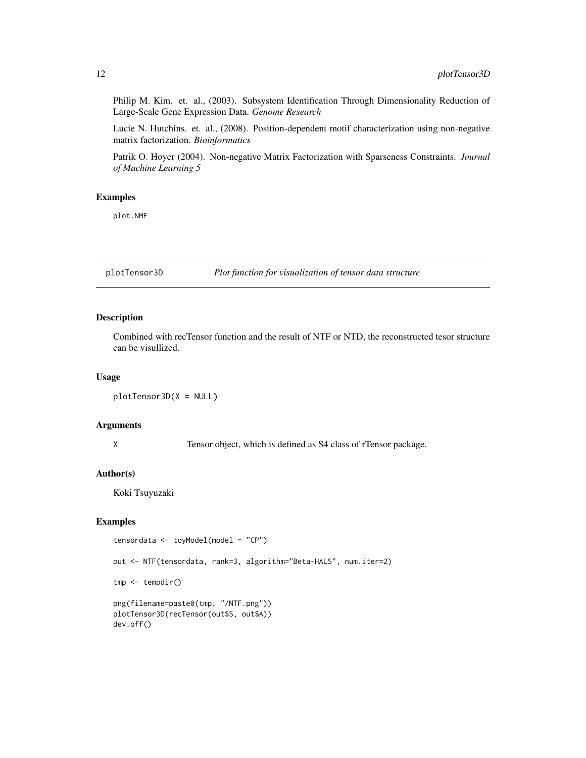Philip M. Kim. et. al., (2003). Subsystem Identification Through Dimensionality Reduction of Large-Scale Gene Expression Data. *Genome Research*

Lucie N. Hutchins. et. al., (2008). Position-dependent motif characterization using non-negative matrix factorization. *Bioinformatics*

Patrik O. Hoyer (2004). Non-negative Matrix Factorization with Sparseness Constraints. *Journal of Machine Learning 5*

#### Examples

plot.NMF

<span id="page-11-1"></span>plotTensor3D *Plot function for visualization of tensor data structure*

#### Description

Combined with recTensor function and the result of NTF or NTD, the reconstructed tesor structure can be visullized.

#### Usage

plotTensor3D(X = NULL)

# Arguments

X Tensor object, which is defined as S4 class of rTensor package.

#### Author(s)

Koki Tsuyuzaki

# Examples

```
tensordata <- toyModel(model = "CP")
out <- NTF(tensordata, rank=3, algorithm="Beta-HALS", num.iter=2)
tmp <- tempdir()
png(filename=paste0(tmp, "/NTF.png"))
plotTensor3D(recTensor(out$S, out$A))
dev.off()
```
<span id="page-11-0"></span>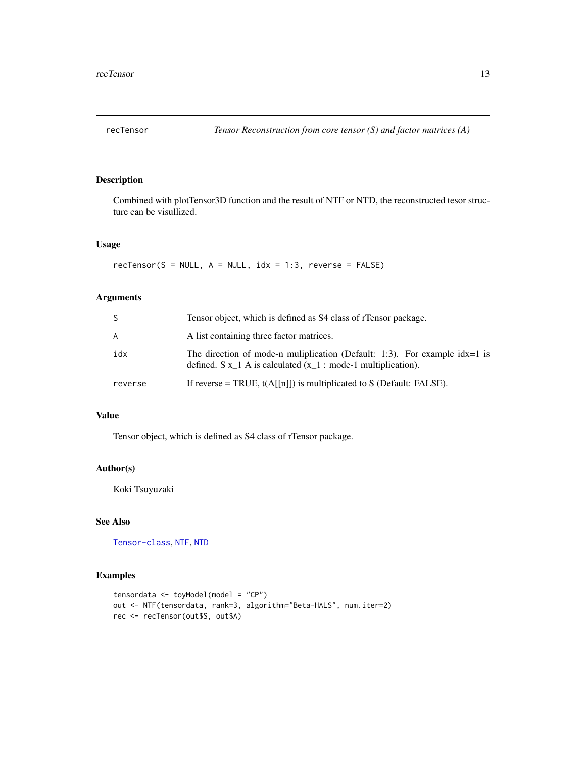<span id="page-12-1"></span><span id="page-12-0"></span>

# Description

Combined with plotTensor3D function and the result of NTF or NTD, the reconstructed tesor structure can be visullized.

#### Usage

 $recTensor(S = NULL, A = NULL, idx = 1:3, reverse = FALSE)$ 

# Arguments

| S       | Tensor object, which is defined as S4 class of rTensor package.                                                                                          |
|---------|----------------------------------------------------------------------------------------------------------------------------------------------------------|
| A       | A list containing three factor matrices.                                                                                                                 |
| idx     | The direction of mode-n muliplication (Default: 1:3). For example $\text{idx}=1$ is<br>defined. $S x_1 A$ is calculated $(x_1 : mode-1$ multiplication). |
| reverse | If reverse = TRUE, $t(A[[n]])$ is multiplicated to S (Default: FALSE).                                                                                   |

# Value

Tensor object, which is defined as S4 class of rTensor package.

# Author(s)

Koki Tsuyuzaki

# See Also

[Tensor-class](#page-0-0), [NTF](#page-8-1), [NTD](#page-6-1)

# Examples

```
tensordata <- toyModel(model = "CP")
out <- NTF(tensordata, rank=3, algorithm="Beta-HALS", num.iter=2)
rec <- recTensor(out$S, out$A)
```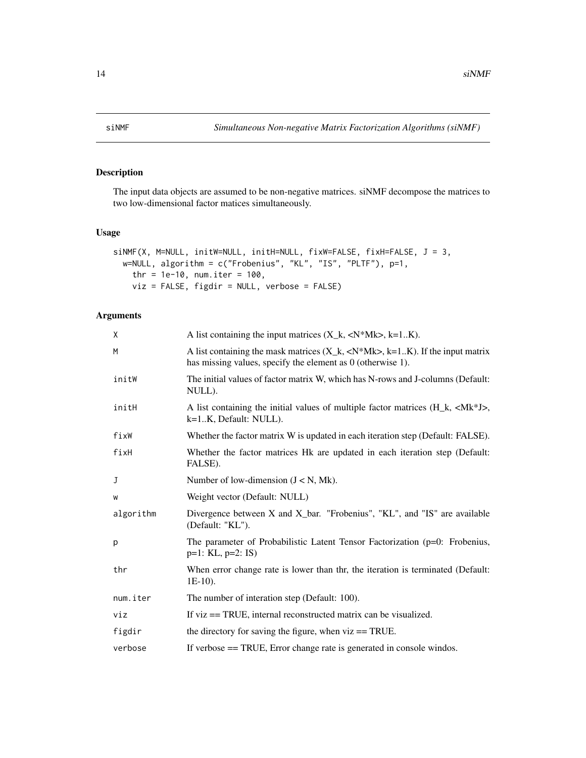<span id="page-13-0"></span>

# Description

The input data objects are assumed to be non-negative matrices. siNMF decompose the matrices to two low-dimensional factor matices simultaneously.

### Usage

```
siNMF(X, M=NULL, initW=NULL, initH=NULL, fixW=FALSE, fixH=FALSE, J = 3,
 w=NULL, algorithm = c("Frobenius", "KL", "IS", "PLTF"), p=1,
   thr = 1e-10, num.iter = 100,
   viz = FALSE, figdir = NULL, verbose = FALSE)
```

| X         | A list containing the input matrices $(X_k, \langle N^*Mk \rangle, k=1K)$ .                                                                                  |
|-----------|--------------------------------------------------------------------------------------------------------------------------------------------------------------|
| M         | A list containing the mask matrices $(X_k, \langle N^*Mk\rangle, k=1K)$ . If the input matrix<br>has missing values, specify the element as 0 (otherwise 1). |
| initW     | The initial values of factor matrix W, which has N-rows and J-columns (Default:<br>NULL).                                                                    |
| initH     | A list containing the initial values of multiple factor matrices $(H_k, \langle Mk^*J \rangle)$ ,<br>k=1.K, Default: NULL).                                  |
| fixW      | Whether the factor matrix W is updated in each iteration step (Default: FALSE).                                                                              |
| fixH      | Whether the factor matrices Hk are updated in each iteration step (Default:<br>FALSE).                                                                       |
| J         | Number of low-dimension $(J < N, Mk)$ .                                                                                                                      |
| W         | Weight vector (Default: NULL)                                                                                                                                |
| algorithm | Divergence between X and X_bar. "Frobenius", "KL", and "IS" are available<br>(Default: "KL").                                                                |
| p         | The parameter of Probabilistic Latent Tensor Factorization (p=0: Frobenius,<br>$p=1$ : KL, $p=2$ : IS)                                                       |
| thr       | When error change rate is lower than thr, the iteration is terminated (Default:<br>$1E-10$ ).                                                                |
| num.iter  | The number of interation step (Default: 100).                                                                                                                |
| viz       | If $viz == TRUE$ , internal reconstructed matrix can be visualized.                                                                                          |
| figdir    | the directory for saving the figure, when $viz == TRUE$ .                                                                                                    |
| verbose   | If verbose == TRUE, Error change rate is generated in console windos.                                                                                        |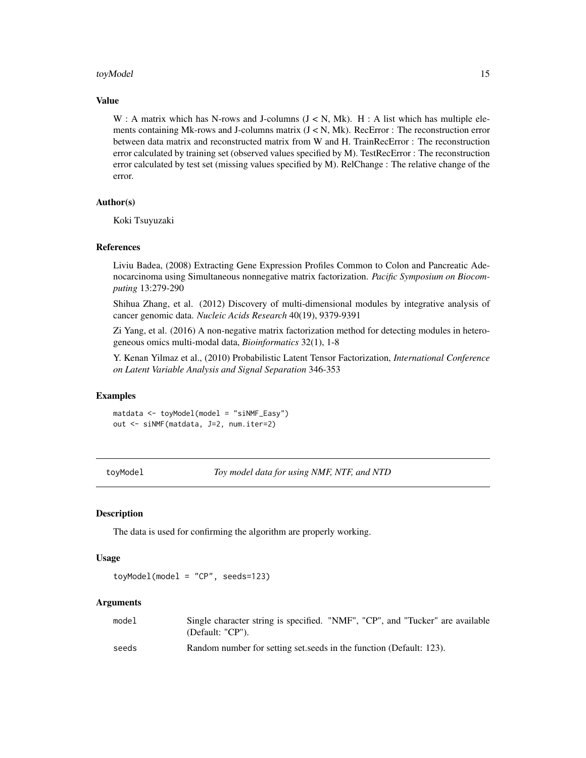#### <span id="page-14-0"></span>toyModel and the state of the state of the state of the state of the state of the state of the state of the state of the state of the state of the state of the state of the state of the state of the state of the state of t

### Value

W : A matrix which has N-rows and J-columns  $(J < N, Mk)$ . H : A list which has multiple elements containing Mk-rows and J-columns matrix  $(J < N, Mk)$ . RecError : The reconstruction error between data matrix and reconstructed matrix from W and H. TrainRecError : The reconstruction error calculated by training set (observed values specified by M). TestRecError : The reconstruction error calculated by test set (missing values specified by M). RelChange : The relative change of the error.

#### Author(s)

Koki Tsuyuzaki

#### References

Liviu Badea, (2008) Extracting Gene Expression Profiles Common to Colon and Pancreatic Adenocarcinoma using Simultaneous nonnegative matrix factorization. *Pacific Symposium on Biocomputing* 13:279-290

Shihua Zhang, et al. (2012) Discovery of multi-dimensional modules by integrative analysis of cancer genomic data. *Nucleic Acids Research* 40(19), 9379-9391

Zi Yang, et al. (2016) A non-negative matrix factorization method for detecting modules in heterogeneous omics multi-modal data, *Bioinformatics* 32(1), 1-8

Y. Kenan Yilmaz et al., (2010) Probabilistic Latent Tensor Factorization, *International Conference on Latent Variable Analysis and Signal Separation* 346-353

#### Examples

matdata <- toyModel(model = "siNMF\_Easy") out <- siNMF(matdata, J=2, num.iter=2)

<span id="page-14-1"></span>toyModel *Toy model data for using NMF, NTF, and NTD*

#### Description

The data is used for confirming the algorithm are properly working.

#### Usage

toyModel(model = "CP", seeds=123)

| model | Single character string is specified. "NMF", "CP", and "Tucker" are available<br>(Default: "CP"). |
|-------|---------------------------------------------------------------------------------------------------|
| seeds | Random number for setting set seeds in the function (Default: 123).                               |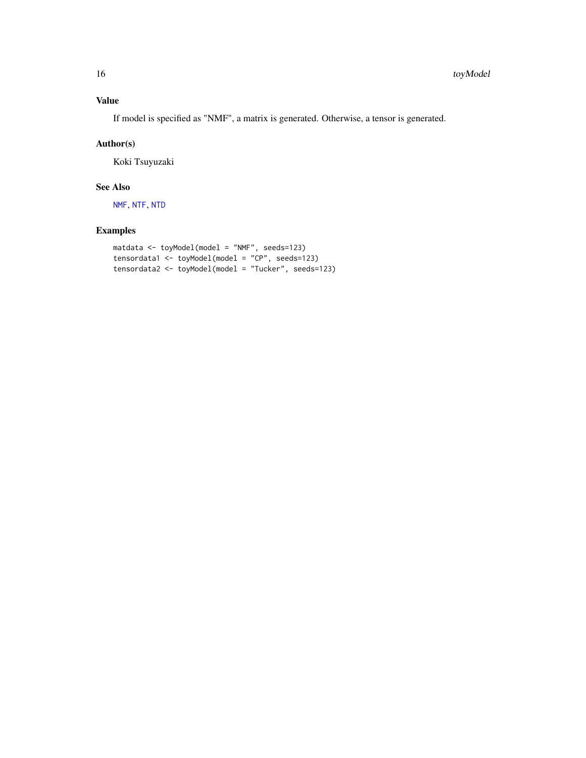# <span id="page-15-0"></span>Value

If model is specified as "NMF", a matrix is generated. Otherwise, a tensor is generated.

#### Author(s)

Koki Tsuyuzaki

# See Also

[NMF](#page-4-1), [NTF](#page-8-1), [NTD](#page-6-1)

# Examples

```
matdata <- toyModel(model = "NMF", seeds=123)
tensordata1 <- toyModel(model = "CP", seeds=123)
tensordata2 <- toyModel(model = "Tucker", seeds=123)
```